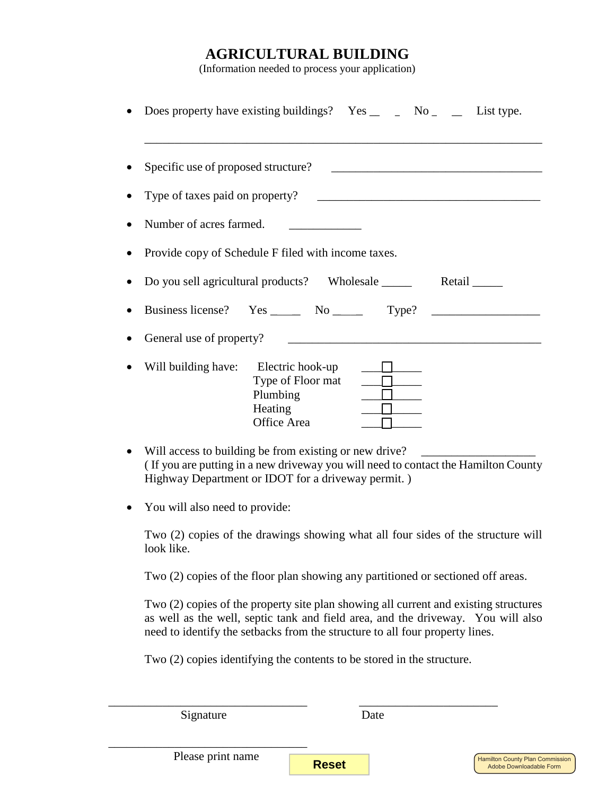#### **AGRICULTURAL BUILDING**

(Information needed to process your application)

| Does property have existing buildings? $Yes \_$ $\_$ No $\_$ $\_$ List type.      |                                                                |                                                                                                                                                                                                                                      |  |
|-----------------------------------------------------------------------------------|----------------------------------------------------------------|--------------------------------------------------------------------------------------------------------------------------------------------------------------------------------------------------------------------------------------|--|
| Specific use of proposed structure?                                               |                                                                |                                                                                                                                                                                                                                      |  |
| Type of taxes paid on property?                                                   |                                                                | <u> 1989 - Johann Harry Harry Harry Harry Harry Harry Harry Harry Harry Harry Harry Harry Harry Harry Harry Harry Harry Harry Harry Harry Harry Harry Harry Harry Harry Harry Harry Harry Harry Harry Harry Harry Harry Harry Ha</u> |  |
| Number of acres farmed.                                                           |                                                                |                                                                                                                                                                                                                                      |  |
| Provide copy of Schedule F filed with income taxes.                               |                                                                |                                                                                                                                                                                                                                      |  |
| Do you sell agricultural products? Wholesale ________ Retail ______               |                                                                |                                                                                                                                                                                                                                      |  |
| Business license? Yes _______ No ________ Type? _________________________________ |                                                                |                                                                                                                                                                                                                                      |  |
|                                                                                   |                                                                |                                                                                                                                                                                                                                      |  |
| Will building have: Electric hook-up                                              | Type of Floor mat<br>Plumbing<br>Heating<br><b>Office Area</b> |                                                                                                                                                                                                                                      |  |

- Will access to building be from existing or new drive? ( If you are putting in a new driveway you will need to contact the Hamilton County Highway Department or IDOT for a driveway permit. )
- You will also need to provide:

Two (2) copies of the drawings showing what all four sides of the structure will look like.

Two (2) copies of the floor plan showing any partitioned or sectioned off areas.

Two (2) copies of the property site plan showing all current and existing structures as well as the well, septic tank and field area, and the driveway. You will also need to identify the setbacks from the structure to all four property lines.

Two (2) copies identifying the contents to be stored in the structure.

\_\_\_\_\_\_\_\_\_\_\_\_\_\_\_\_\_\_\_\_\_\_\_\_\_\_\_\_\_\_\_\_\_ \_\_\_\_\_\_\_\_\_\_\_\_\_\_\_\_\_\_\_\_\_\_\_

Signature Date

\_\_\_\_\_\_\_\_\_\_\_\_\_\_\_\_\_\_\_\_\_\_\_\_\_\_\_\_\_\_\_\_\_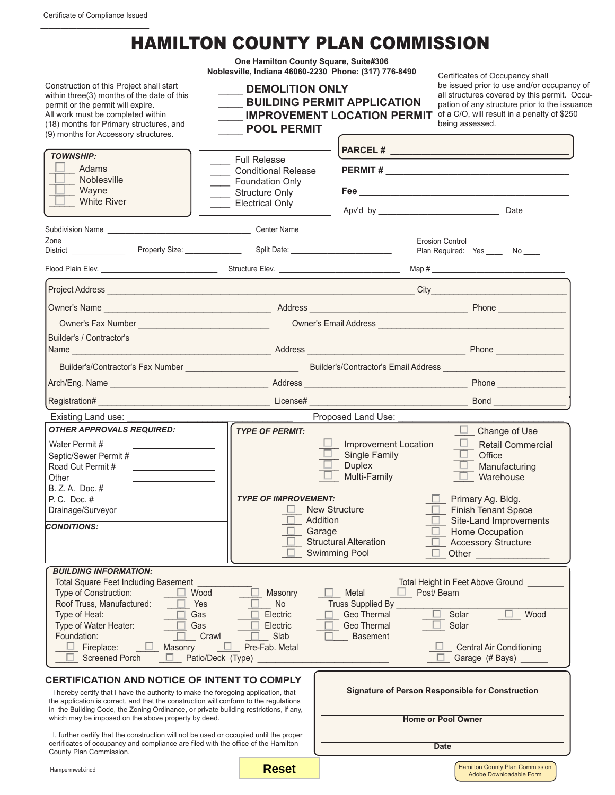## HAMILTON COUNTY PLAN COMMISSION

**One Hamilton County Square, Suite#306 Noblesville, Indiana 46060-2230 Phone: (317) 776-8490**

| Construction of this Project shall start<br>within three(3) months of the date of this<br>permit or the permit will expire.<br>All work must be completed within<br>(18) months for Primary structures, and<br>(9) months for Accessory structures.                                                                              | <b>DEMOLITION ONLY</b><br><b>POOL PERMIT</b>                           | <b>BUILDING PERMIT APPLICATION</b><br><b>IMPROVEMENT LOCATION PERMIT</b>                              | be issued prior to use and/or occupancy of<br>all structures covered by this permit. Occu-<br>pation of any structure prior to the issuance<br>of a C/O, will result in a penalty of \$250<br>being assessed.                        |
|----------------------------------------------------------------------------------------------------------------------------------------------------------------------------------------------------------------------------------------------------------------------------------------------------------------------------------|------------------------------------------------------------------------|-------------------------------------------------------------------------------------------------------|--------------------------------------------------------------------------------------------------------------------------------------------------------------------------------------------------------------------------------------|
| <b>TOWNSHIP:</b>                                                                                                                                                                                                                                                                                                                 |                                                                        |                                                                                                       |                                                                                                                                                                                                                                      |
| Adams                                                                                                                                                                                                                                                                                                                            | <b>Full Release</b><br><b>Conditional Release</b>                      |                                                                                                       |                                                                                                                                                                                                                                      |
| Noblesville                                                                                                                                                                                                                                                                                                                      | Foundation Only                                                        |                                                                                                       |                                                                                                                                                                                                                                      |
| Wayne<br><b>White River</b>                                                                                                                                                                                                                                                                                                      | Structure Only<br><b>Electrical Only</b>                               |                                                                                                       |                                                                                                                                                                                                                                      |
|                                                                                                                                                                                                                                                                                                                                  |                                                                        |                                                                                                       | Apv'd by Date                                                                                                                                                                                                                        |
|                                                                                                                                                                                                                                                                                                                                  |                                                                        |                                                                                                       |                                                                                                                                                                                                                                      |
| Zone<br>District _____________                                                                                                                                                                                                                                                                                                   |                                                                        |                                                                                                       | <b>Erosion Control</b><br>Plan Required: Yes _____ No ____                                                                                                                                                                           |
|                                                                                                                                                                                                                                                                                                                                  |                                                                        |                                                                                                       |                                                                                                                                                                                                                                      |
|                                                                                                                                                                                                                                                                                                                                  |                                                                        |                                                                                                       |                                                                                                                                                                                                                                      |
|                                                                                                                                                                                                                                                                                                                                  |                                                                        |                                                                                                       |                                                                                                                                                                                                                                      |
|                                                                                                                                                                                                                                                                                                                                  |                                                                        |                                                                                                       | Owner's Email Address <b>Contract Contract Contract Contract Contract Contract Contract Contract Contract Contract Contract Contract Contract Contract Contract Contract Contract Contract Contract Contract Contract Contract C</b> |
| Builder's / Contractor's                                                                                                                                                                                                                                                                                                         |                                                                        |                                                                                                       |                                                                                                                                                                                                                                      |
|                                                                                                                                                                                                                                                                                                                                  |                                                                        |                                                                                                       |                                                                                                                                                                                                                                      |
|                                                                                                                                                                                                                                                                                                                                  |                                                                        |                                                                                                       |                                                                                                                                                                                                                                      |
|                                                                                                                                                                                                                                                                                                                                  |                                                                        |                                                                                                       |                                                                                                                                                                                                                                      |
|                                                                                                                                                                                                                                                                                                                                  |                                                                        | Proposed Land Use:                                                                                    |                                                                                                                                                                                                                                      |
| Existing Land use:<br><b>OTHER APPROVALS REQUIRED:</b>                                                                                                                                                                                                                                                                           | <b>TYPE OF PERMIT:</b>                                                 |                                                                                                       | $\Box$ Change of Use                                                                                                                                                                                                                 |
| Water Permit#<br><u> 1990 - Johann Barbara, martin a</u><br>Septic/Sewer Permit # _____________________<br>Road Cut Permit #<br><u> 2002 - John Stone, Amerikan besteht der Stone (</u><br>Other<br>the control of the control of the control of<br>B. Z. A. Doc. #<br>the control of the control of the control<br>P. C. Doc. # | <b>TYPE OF IMPROVEMENT:</b>                                            | <b>Improvement Location</b><br>Single Family<br><b>Duplex</b><br>Multi-Family<br><b>New Structure</b> | $\Box$ Retail Commercial<br>Office<br>Manufacturing<br>Warehouse<br>Primary Ag. Bldg.<br>- LI -                                                                                                                                      |
| Drainage/Surveyor                                                                                                                                                                                                                                                                                                                | $\Box$ Addition                                                        |                                                                                                       | <b>Finish Tenant Space</b><br>Site-Land Improvements                                                                                                                                                                                 |
| <b>CONDITIONS:</b>                                                                                                                                                                                                                                                                                                               | Garage                                                                 | <b>Structural Alteration</b><br><b>Swimming Pool</b>                                                  | Home Occupation<br><b>Accessory Structure</b><br>Other                                                                                                                                                                               |
| <b>BUILDING INFORMATION:</b>                                                                                                                                                                                                                                                                                                     |                                                                        |                                                                                                       |                                                                                                                                                                                                                                      |
| <b>Total Square Feet Including Basement</b><br>Type of Construction:<br>Wood<br>Roof Truss, Manufactured:<br>Yes<br>Type of Heat:<br>Gas<br>Type of Water Heater:<br>Gas<br>Foundation:<br>Crawl<br>Fireplace:<br>Masonry<br><b>Screened Porch</b><br>Patio/Deck (Type)                                                          | Masonry<br><b>No</b><br>Electric<br>Electric<br>Slab<br>Pre-Fab. Metal | Metal<br><b>Truss Supplied By</b><br>Geo Thermal<br>Geo Thermal<br><b>Basement</b>                    | Total Height in Feet Above Ground<br>Post/Beam<br>Solar<br>Wood<br>Solar<br>Central Air Conditioning<br>Garage (# Bays) _                                                                                                            |
| CERTIFICATION AND NOTICE OF INTENT TO COMPLY                                                                                                                                                                                                                                                                                     |                                                                        |                                                                                                       |                                                                                                                                                                                                                                      |
| I hereby certify that I have the authority to make the foregoing application, that<br>the application is correct, and that the construction will conform to the regulations<br>in the Building Code, the Zoning Ordinance, or private building restrictions, if any,<br>which may be imposed on the above property by deed.      |                                                                        | <b>Signature of Person Responsible for Construction</b><br><b>Home or Pool Owner</b>                  |                                                                                                                                                                                                                                      |
| I, further certify that the construction will not be used or occupied until the proper<br>certificates of occupancy and compliance are filed with the office of the Hamilton                                                                                                                                                     |                                                                        |                                                                                                       |                                                                                                                                                                                                                                      |
| County Plan Commission.                                                                                                                                                                                                                                                                                                          |                                                                        |                                                                                                       | <b>Date</b>                                                                                                                                                                                                                          |

Hampermweb.indd

**Reset**

Certificates of Occupancy shall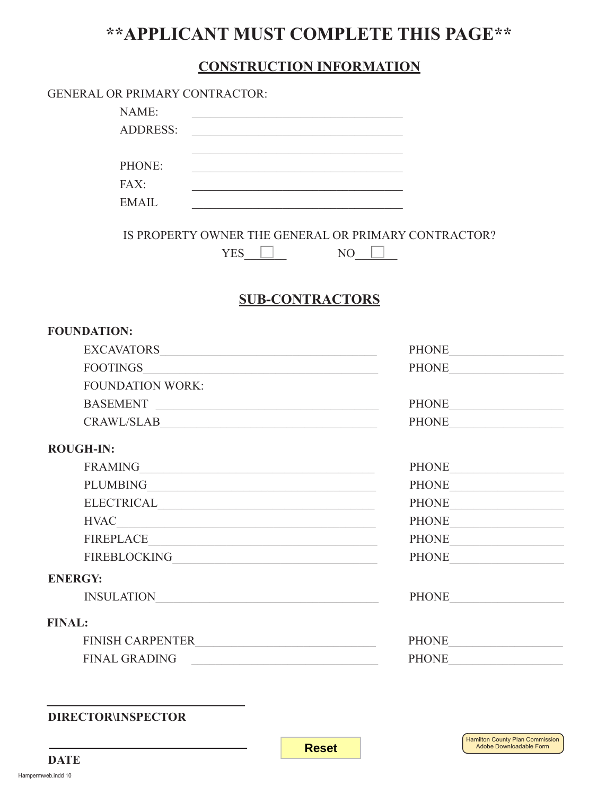### **\*\*APPLICANT MUST COMPLETE THIS PAGE\*\***

#### **CONSTRUCTION INFORMATION**

| NAME:<br><u> 1989 - Johann John Stein, mars an deus Amerikaansk kommunister (</u><br><b>ADDRESS:</b><br><u> 1990 - Johann John Stoff, deutscher Stoffen und der Stoffen und der Stoffen und der Stoffen und der Stoffen un</u><br><u> 1989 - Johann Barn, amerikansk politiker (d. 1989)</u><br>PHONE:<br><u> 1989 - Johann John Stone, mars eta bainar eta bainar eta baina eta baina eta baina eta baina eta baina eta b</u><br>FAX: |             |
|----------------------------------------------------------------------------------------------------------------------------------------------------------------------------------------------------------------------------------------------------------------------------------------------------------------------------------------------------------------------------------------------------------------------------------------|-------------|
|                                                                                                                                                                                                                                                                                                                                                                                                                                        |             |
|                                                                                                                                                                                                                                                                                                                                                                                                                                        |             |
|                                                                                                                                                                                                                                                                                                                                                                                                                                        |             |
|                                                                                                                                                                                                                                                                                                                                                                                                                                        |             |
| <u> 1989 - Johann John Stone, markin film yn y brening yn y brening yn y brening yn y brening yn y brening y breni</u>                                                                                                                                                                                                                                                                                                                 |             |
| <b>EMAIL</b><br><u> 1989 - Johann Barbara, martxa amerikan bashkar (</u>                                                                                                                                                                                                                                                                                                                                                               |             |
|                                                                                                                                                                                                                                                                                                                                                                                                                                        |             |
| IS PROPERTY OWNER THE GENERAL OR PRIMARY CONTRACTOR?                                                                                                                                                                                                                                                                                                                                                                                   |             |
| $YES$ $\Box$                                                                                                                                                                                                                                                                                                                                                                                                                           | $NO$ $\Box$ |
|                                                                                                                                                                                                                                                                                                                                                                                                                                        |             |
| <b>SUB-CONTRACTORS</b>                                                                                                                                                                                                                                                                                                                                                                                                                 |             |
| <b>FOUNDATION:</b>                                                                                                                                                                                                                                                                                                                                                                                                                     |             |
| ${\bf EXCAVATORS\_}\label{eq:excavATORS}$                                                                                                                                                                                                                                                                                                                                                                                              |             |
|                                                                                                                                                                                                                                                                                                                                                                                                                                        |             |
| <b>FOUNDATION WORK:</b>                                                                                                                                                                                                                                                                                                                                                                                                                |             |
| BASEMENT                                                                                                                                                                                                                                                                                                                                                                                                                               |             |
| CRAWL/SLAB                                                                                                                                                                                                                                                                                                                                                                                                                             |             |
| <b>ROUGH-IN:</b>                                                                                                                                                                                                                                                                                                                                                                                                                       |             |
|                                                                                                                                                                                                                                                                                                                                                                                                                                        |             |
|                                                                                                                                                                                                                                                                                                                                                                                                                                        |             |
|                                                                                                                                                                                                                                                                                                                                                                                                                                        |             |
|                                                                                                                                                                                                                                                                                                                                                                                                                                        |             |
|                                                                                                                                                                                                                                                                                                                                                                                                                                        |             |
|                                                                                                                                                                                                                                                                                                                                                                                                                                        |             |
| <b>ENERGY:</b>                                                                                                                                                                                                                                                                                                                                                                                                                         |             |
|                                                                                                                                                                                                                                                                                                                                                                                                                                        |             |
| <b>FINAL:</b>                                                                                                                                                                                                                                                                                                                                                                                                                          |             |
|                                                                                                                                                                                                                                                                                                                                                                                                                                        |             |
|                                                                                                                                                                                                                                                                                                                                                                                                                                        |             |

**DIRECTOR\INSPECTOR**

**DATE**

**Reset**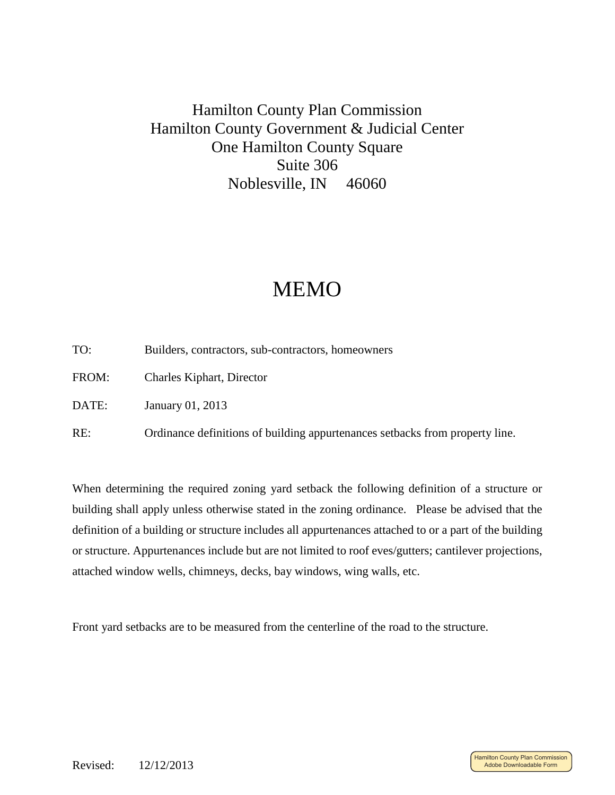#### Hamilton County Plan Commission Hamilton County Government & Judicial Center One Hamilton County Square Suite 306 Noblesville, IN 46060

## MEMO

- TO: Builders, contractors, sub-contractors, homeowners
- FROM: Charles Kiphart, Director
- DATE: January 01, 2013
- RE: Ordinance definitions of building appurtenances setbacks from property line.

When determining the required zoning yard setback the following definition of a structure or building shall apply unless otherwise stated in the zoning ordinance. Please be advised that the definition of a building or structure includes all appurtenances attached to or a part of the building or structure. Appurtenances include but are not limited to roof eves/gutters; cantilever projections, attached window wells, chimneys, decks, bay windows, wing walls, etc.

Front yard setbacks are to be measured from the centerline of the road to the structure.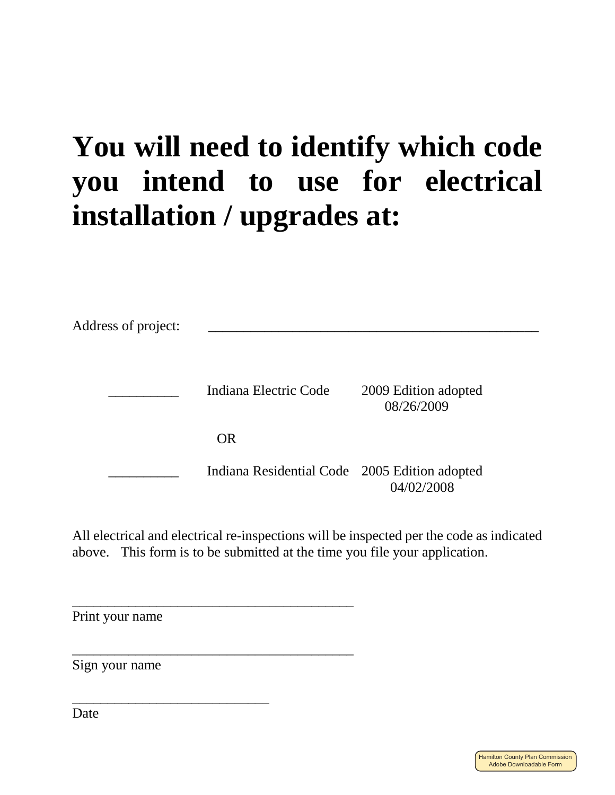# **You will need to identify which code you intend to use for electrical installation / upgrades at:**

| Address of project: |                                               |                                    |  |
|---------------------|-----------------------------------------------|------------------------------------|--|
|                     | Indiana Electric Code                         | 2009 Edition adopted<br>08/26/2009 |  |
|                     | <b>OR</b>                                     |                                    |  |
|                     | Indiana Residential Code 2005 Edition adopted | 04/02/2008                         |  |

All electrical and electrical re-inspections will be inspected per the code as indicated above. This form is to be submitted at the time you file your application.

Print your name

\_\_\_\_\_\_\_\_\_\_\_\_\_\_\_\_\_\_\_\_\_\_\_\_\_\_\_\_\_\_\_\_\_\_\_\_\_\_\_\_

\_\_\_\_\_\_\_\_\_\_\_\_\_\_\_\_\_\_\_\_\_\_\_\_\_\_\_\_\_\_\_\_\_\_\_\_\_\_\_\_

\_\_\_\_\_\_\_\_\_\_\_\_\_\_\_\_\_\_\_\_\_\_\_\_\_\_\_\_

Sign your name

Date